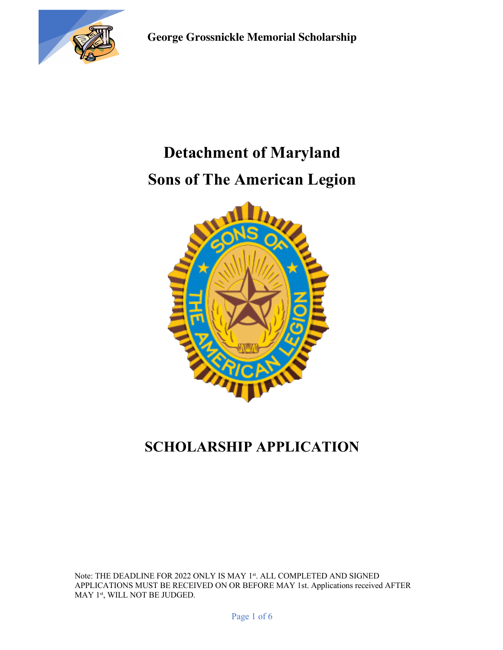

# **Detachment of Maryland Sons of The American Legion**



## **SCHOLARSHIP APPLICATION**

Note: THE DEADLINE FOR 2022 ONLY IS MAY 1st. ALL COMPLETED AND SIGNED APPLICATIONS MUST BE RECEIVED ON OR BEFORE MAY 1st. Applications received AFTER  $\operatorname{MAY}$   $1^{\text{st}},$  WILL NOT BE JUDGED.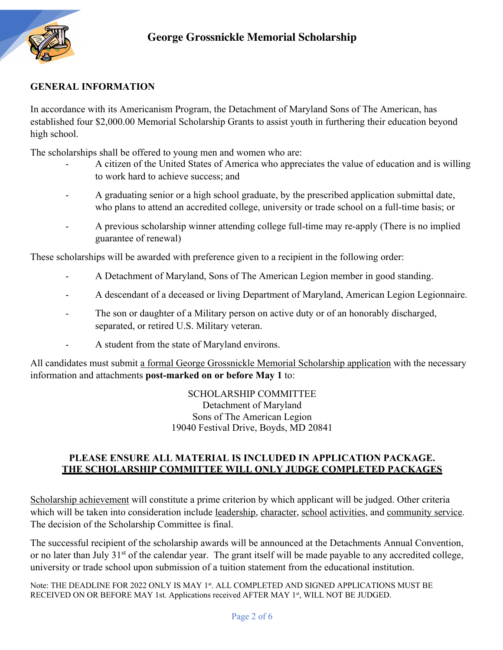

#### **GENERAL INFORMATION**

In accordance with its Americanism Program, the Detachment of Maryland Sons of The American, has established four \$2,000.00 Memorial Scholarship Grants to assist youth in furthering their education beyond high school.

The scholarships shall be offered to young men and women who are:

- A citizen of the United States of America who appreciates the value of education and is willing to work hard to achieve success; and
- A graduating senior or a high school graduate, by the prescribed application submittal date, who plans to attend an accredited college, university or trade school on a full-time basis; or
- A previous scholarship winner attending college full-time may re-apply (There is no implied guarantee of renewal)

These scholarships will be awarded with preference given to a recipient in the following order:

- A Detachment of Maryland, Sons of The American Legion member in good standing.
- A descendant of a deceased or living Department of Maryland, American Legion Legionnaire.
- The son or daughter of a Military person on active duty or of an honorably discharged, separated, or retired U.S. Military veteran.
- A student from the state of Maryland environs.

All candidates must submit a formal George Grossnickle Memorial Scholarship application with the necessary information and attachments **post-marked on or before May 1** to:

> SCHOLARSHIP COMMITTEE Detachment of Maryland Sons of The American Legion 19040 Festival Drive, Boyds, MD 20841

#### **PLEASE ENSURE ALL MATERIAL IS INCLUDED IN APPLICATION PACKAGE. THE SCHOLARSHIP COMMITTEE WILL ONLY JUDGE COMPLETED PACKAGES**

Scholarship achievement will constitute a prime criterion by which applicant will be judged. Other criteria which will be taken into consideration include leadership, character, school activities, and community service. The decision of the Scholarship Committee is final.

The successful recipient of the scholarship awards will be announced at the Detachments Annual Convention, or no later than July 31<sup>st</sup> of the calendar year. The grant itself will be made payable to any accredited college, university or trade school upon submission of a tuition statement from the educational institution.

Note: THE DEADLINE FOR 2022 ONLY IS MAY 1st. ALL COMPLETED AND SIGNED APPLICATIONS MUST BE RECEIVED ON OR BEFORE MAY 1st. Applications received AFTER MAY 1<sup>st</sup>, WILL NOT BE JUDGED.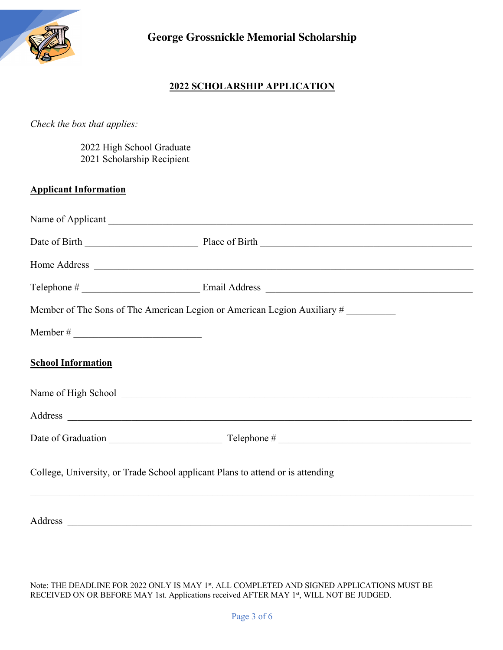

#### **2022 SCHOLARSHIP APPLICATION**

#### *Check the box that applies:*

 2022 High School Graduate 2021 Scholarship Recipient

#### **Applicant Information**

|                                                                                | Member of The Sons of The American Legion or American Legion Auxiliary # |
|--------------------------------------------------------------------------------|--------------------------------------------------------------------------|
|                                                                                |                                                                          |
| <b>School Information</b>                                                      |                                                                          |
|                                                                                |                                                                          |
|                                                                                |                                                                          |
|                                                                                |                                                                          |
| College, University, or Trade School applicant Plans to attend or is attending |                                                                          |
|                                                                                |                                                                          |

Note: THE DEADLINE FOR 2022 ONLY IS MAY 1st. ALL COMPLETED AND SIGNED APPLICATIONS MUST BE RECEIVED ON OR BEFORE MAY 1st. Applications received AFTER MAY 1st, WILL NOT BE JUDGED.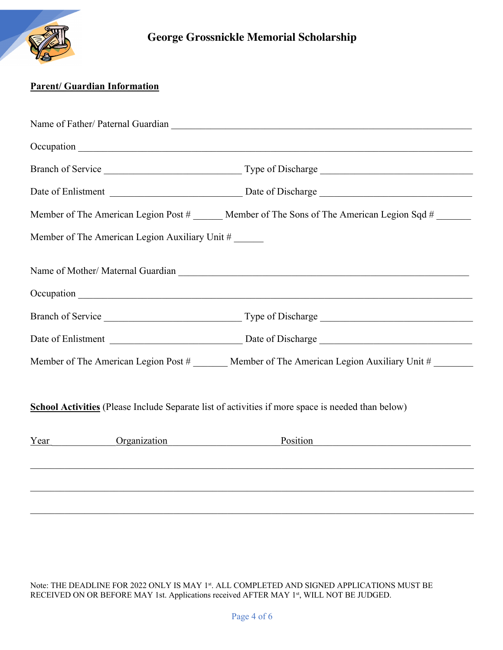

#### **Parent/ Guardian Information**

|      |                                                | Member of The American Legion Post # ______ Member of The Sons of The American Legion Sqd #         |
|------|------------------------------------------------|-----------------------------------------------------------------------------------------------------|
|      | Member of The American Legion Auxiliary Unit # |                                                                                                     |
|      |                                                |                                                                                                     |
|      |                                                |                                                                                                     |
|      |                                                |                                                                                                     |
|      |                                                |                                                                                                     |
|      |                                                | Member of The American Legion Post # _______ Member of The American Legion Auxiliary Unit # _______ |
|      |                                                | School Activities (Please Include Separate list of activities if more space is needed than below)   |
| Year | <b>Organization</b>                            | Position                                                                                            |
|      |                                                |                                                                                                     |
|      |                                                |                                                                                                     |
|      |                                                |                                                                                                     |

Note: THE DEADLINE FOR 2022 ONLY IS MAY 1st. ALL COMPLETED AND SIGNED APPLICATIONS MUST BE RECEIVED ON OR BEFORE MAY 1st. Applications received AFTER MAY 1st, WILL NOT BE JUDGED.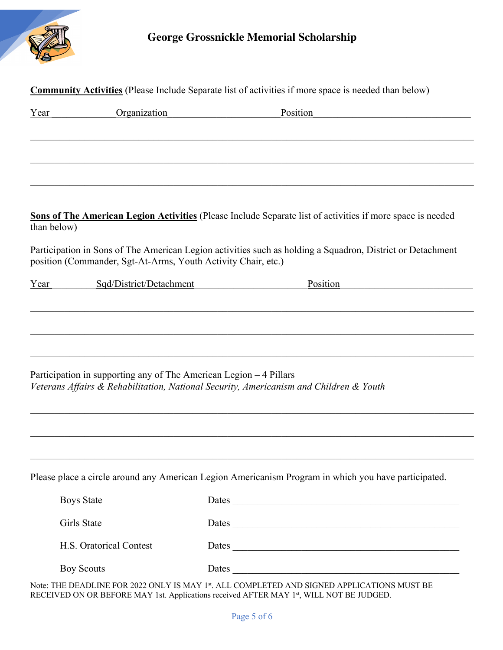

### **George Grossnickle Memorial Scholarship**

|                   | Organization            | Position                                                                                                                                                                    |
|-------------------|-------------------------|-----------------------------------------------------------------------------------------------------------------------------------------------------------------------------|
|                   |                         |                                                                                                                                                                             |
|                   |                         |                                                                                                                                                                             |
|                   |                         |                                                                                                                                                                             |
|                   |                         |                                                                                                                                                                             |
|                   |                         | Sons of The American Legion Activities (Please Include Separate list of activities if more space is needed                                                                  |
| than below)       |                         |                                                                                                                                                                             |
|                   |                         | Participation in Sons of The American Legion activities such as holding a Squadron, District or Detachment<br>position (Commander, Sgt-At-Arms, Youth Activity Chair, etc.) |
| Year              | Sqd/District/Detachment | Position                                                                                                                                                                    |
|                   |                         |                                                                                                                                                                             |
|                   |                         |                                                                                                                                                                             |
|                   |                         |                                                                                                                                                                             |
|                   |                         |                                                                                                                                                                             |
|                   |                         |                                                                                                                                                                             |
|                   |                         | Participation in supporting any of The American Legion – 4 Pillars                                                                                                          |
|                   |                         | Veterans Affairs & Rehabilitation, National Security, Americanism and Children & Youth                                                                                      |
|                   |                         |                                                                                                                                                                             |
|                   |                         |                                                                                                                                                                             |
|                   |                         |                                                                                                                                                                             |
|                   |                         |                                                                                                                                                                             |
|                   |                         | Please place a circle around any American Legion Americanism Program in which you have participated.                                                                        |
| <b>Boys State</b> |                         | Dates                                                                                                                                                                       |
| Girls State       |                         |                                                                                                                                                                             |
|                   | H.S. Oratorical Contest | Dates<br>Dates                                                                                                                                                              |

Note: THE DEADLINE FOR 2022 ONLY IS MAY 1<sup>st</sup>. ALL COMPLETED AND SIGNED APPLICATIONS MUST BE RECEIVED ON OR BEFORE MAY 1st. Applications received AFTER MAY 1st, WILL NOT BE JUDGED.